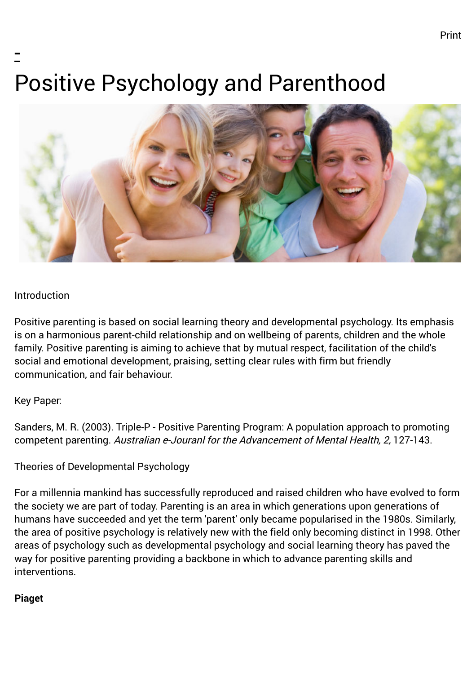# - Positive Psychology and Parenthood



#### Introduction

Positive parenting is based on social learning theory and developmental psychology. Its emphasis is on a harmonious parent-child relationship and on wellbeing of parents, children and the whole family. Positive parenting is aiming to achieve that by mutual respect, facilitation of the child's social and emotional development, praising, setting clear rules with firm but friendly communication, and fair behaviour.

#### Key Paper:

Sanders, M. R. (2003). Triple-P - Positive Parenting Program: A population approach to promoting competent parenting. Australian e-Jouranl for the Advancement of Mental Health, 2, 127-143.

#### Theories of Developmental Psychology

For a millennia mankind has successfully reproduced and raised children who have evolved to form the society we are part of today. Parenting is an area in which generations upon generations of humans have succeeded and yet the term 'parent' only became popularised in the 1980s. Similarly, the area of positive psychology is relatively new with the field only becoming distinct in 1998. Other areas of psychology such as developmental psychology and social learning theory has paved the way for positive parenting providing a backbone in which to advance parenting skills and interventions.

#### **Piaget**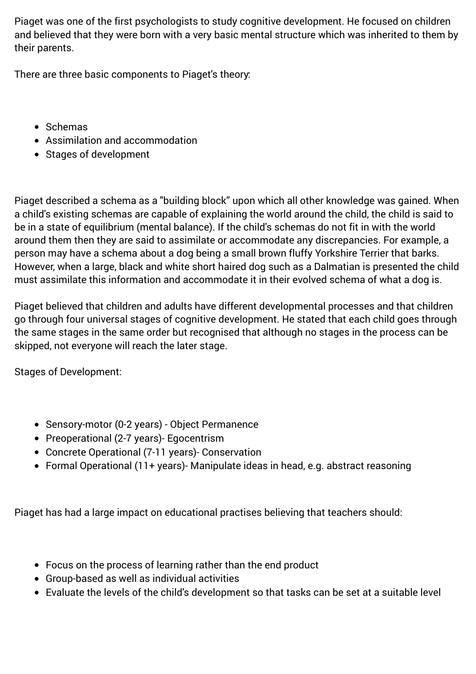Piaget was one of the first psychologists to study cognitive development. He focused on children and believed that they were born with a very basic mental structure which was inherited to them by their parents.

There are three basic components to Piaget's theory:

- Schemas
- Assimilation and accommodation
- Stages of development

Piaget described a schema as a "building block" upon which all other knowledge was gained. When a child's existing schemas are capable of explaining the world around the child, the child is said to be in a state of equilibrium (mental balance). If the child's schemas do not fit in with the world around them then they are said to assimilate or accommodate any discrepancies. For example, a person may have a schema about a dog being a small brown fluffy Yorkshire Terrier that barks. However, when a large, black and white short haired dog such as a Dalmatian is presented the child must assimilate this information and accommodate it in their evolved schema of what a dog is.

Piaget believed that children and adults have different developmental processes and that children go through four universal stages of cognitive development. He stated that each child goes through the same stages in the same order but recognised that although no stages in the process can be skipped, not everyone will reach the later stage.

Stages of Development:

- Sensory-motor (0-2 years) Object Permanence
- Preoperational (2-7 years)- Egocentrism
- Concrete Operational (7-11 years)- Conservation
- Formal Operational (11+ years)- Manipulate ideas in head, e.g. abstract reasoning

Piaget has had a large impact on educational practises believing that teachers should:

- Focus on the process of learning rather than the end product
- Group-based as well as individual activities
- Evaluate the levels of the child's development so that tasks can be set at a suitable level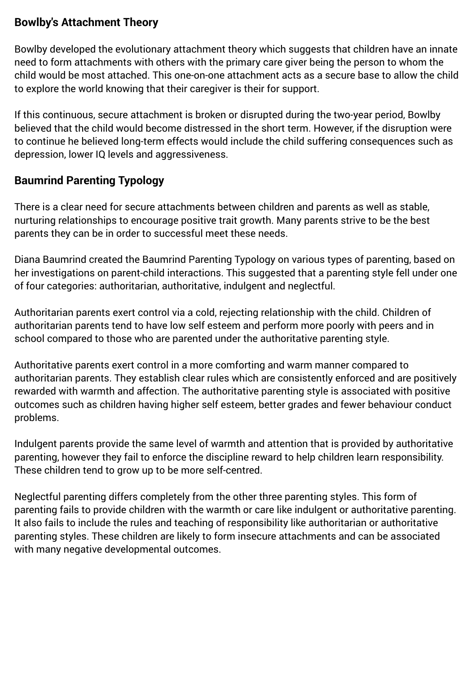# **Bowlby's Attachment Theory**

Bowlby developed the evolutionary attachment theory which suggests that children have an innate need to form attachments with others with the primary care giver being the person to whom the child would be most attached. This one-on-one attachment acts as a secure base to allow the child to explore the world knowing that their caregiver is their for support.

If this continuous, secure attachment is broken or disrupted during the two-year period, Bowlby believed that the child would become distressed in the short term. However, if the disruption were to continue he believed long-term effects would include the child suffering consequences such as depression, lower IQ levels and aggressiveness.

# **Baumrind Parenting Typology**

There is a clear need for secure attachments between children and parents as well as stable, nurturing relationships to encourage positive trait growth. Many parents strive to be the best parents they can be in order to successful meet these needs.

Diana Baumrind created the Baumrind Parenting Typology on various types of parenting, based on her investigations on parent-child interactions. This suggested that a parenting style fell under one of four categories: authoritarian, authoritative, indulgent and neglectful.

Authoritarian parents exert control via a cold, rejecting relationship with the child. Children of authoritarian parents tend to have low self esteem and perform more poorly with peers and in school compared to those who are parented under the authoritative parenting style.

Authoritative parents exert control in a more comforting and warm manner compared to authoritarian parents. They establish clear rules which are consistently enforced and are positively rewarded with warmth and affection. The authoritative parenting style is associated with positive outcomes such as children having higher self esteem, better grades and fewer behaviour conduct problems.

Indulgent parents provide the same level of warmth and attention that is provided by authoritative parenting, however they fail to enforce the discipline reward to help children learn responsibility. These children tend to grow up to be more self-centred.

Neglectful parenting differs completely from the other three parenting styles. This form of parenting fails to provide children with the warmth or care like indulgent or authoritative parenting. It also fails to include the rules and teaching of responsibility like authoritarian or authoritative parenting styles. These children are likely to form insecure attachments and can be associated with many negative developmental outcomes.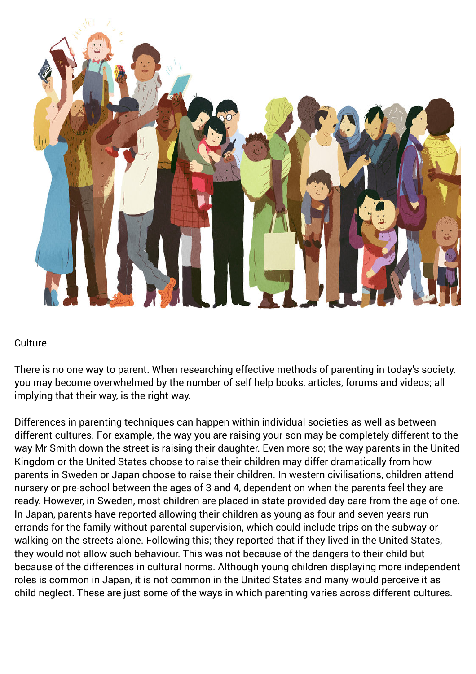

#### **Culture**

There is no one way to parent. When researching effective methods of parenting in today's society, you may become overwhelmed by the number of self help books, articles, forums and videos; all implying that their way, is the right way.

Differences in parenting techniques can happen within individual societies as well as between different cultures. For example, the way you are raising your son may be completely different to the way Mr Smith down the street is raising their daughter. Even more so; the way parents in the United Kingdom or the United States choose to raise their children may differ dramatically from how parents in Sweden or Japan choose to raise their children. In western civilisations, children attend nursery or pre-school between the ages of 3 and 4, dependent on when the parents feel they are ready. However, in Sweden, most children are placed in state provided day care from the age of one. In Japan, parents have reported allowing their children as young as four and seven years run errands for the family without parental supervision, which could include trips on the subway or walking on the streets alone. Following this; they reported that if they lived in the United States, they would not allow such behaviour. This was not because of the dangers to their child but because of the differences in cultural norms. Although young children displaying more independent roles is common in Japan, it is not common in the United States and many would perceive it as child neglect. These are just some of the ways in which parenting varies across different cultures.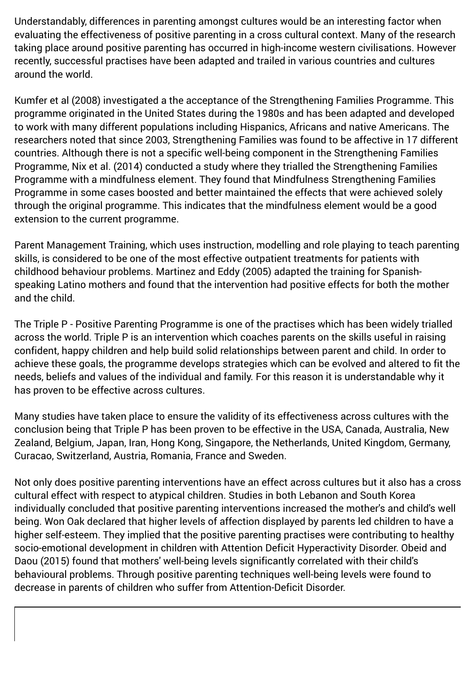Understandably, differences in parenting amongst cultures would be an interesting factor when evaluating the effectiveness of positive parenting in a cross cultural context. Many of the research taking place around positive parenting has occurred in high-income western civilisations. However recently, successful practises have been adapted and trailed in various countries and cultures around the world.

Kumfer et al (2008) investigated a the acceptance of the Strengthening Families Programme. This programme originated in the United States during the 1980s and has been adapted and developed to work with many different populations including Hispanics, Africans and native Americans. The researchers noted that since 2003, Strengthening Families was found to be affective in 17 different countries. Although there is not a specific well-being component in the Strengthening Families Programme, Nix et al. (2014) conducted a study where they trialled the Strengthening Families Programme with a mindfulness element. They found that Mindfulness Strengthening Families Programme in some cases boosted and better maintained the effects that were achieved solely through the original programme. This indicates that the mindfulness element would be a good extension to the current programme.

Parent Management Training, which uses instruction, modelling and role playing to teach parenting skills, is considered to be one of the most effective outpatient treatments for patients with childhood behaviour problems. Martinez and Eddy (2005) adapted the training for Spanishspeaking Latino mothers and found that the intervention had positive effects for both the mother and the child.

The Triple P - Positive Parenting Programme is one of the practises which has been widely trialled across the world. Triple P is an intervention which coaches parents on the skills useful in raising confident, happy children and help build solid relationships between parent and child. In order to achieve these goals, the programme develops strategies which can be evolved and altered to fit the needs, beliefs and values of the individual and family. For this reason it is understandable why it has proven to be effective across cultures.

Many studies have taken place to ensure the validity of its effectiveness across cultures with the conclusion being that Triple P has been proven to be effective in the USA, Canada, Australia, New Zealand, Belgium, Japan, Iran, Hong Kong, Singapore, the Netherlands, United Kingdom, Germany, Curacao, Switzerland, Austria, Romania, France and Sweden.

Not only does positive parenting interventions have an effect across cultures but it also has a cross cultural effect with respect to atypical children. Studies in both Lebanon and South Korea individually concluded that positive parenting interventions increased the mother's and child's well being. Won Oak declared that higher levels of affection displayed by parents led children to have a higher self-esteem. They implied that the positive parenting practises were contributing to healthy socio-emotional development in children with Attention Deficit Hyperactivity Disorder. Obeid and Daou (2015) found that mothers' well-being levels significantly correlated with their child's behavioural problems. Through positive parenting techniques well-being levels were found to decrease in parents of children who suffer from Attention-Deficit Disorder.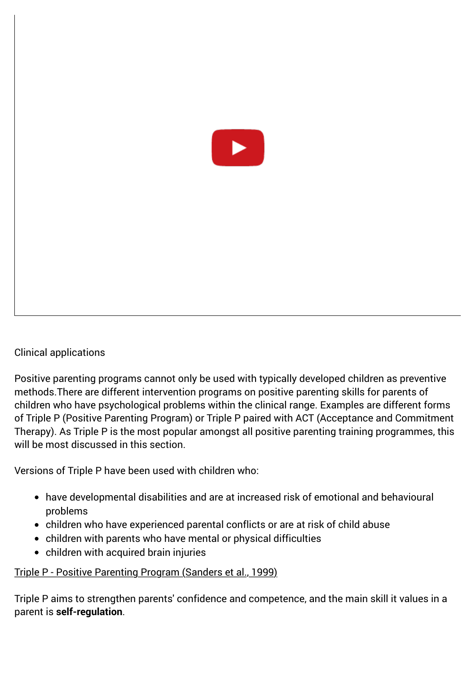

#### Clinical applications

Positive parenting programs cannot only be used with typically developed children as preventive methods.There are different intervention programs on positive parenting skills for parents of children who have psychological problems within the clinical range. Examples are different forms of Triple P (Positive Parenting Program) or Triple P paired with ACT (Acceptance and Commitment Therapy). As Triple P is the most popular amongst all positive parenting training programmes, this will be most discussed in this section.

Versions of Triple P have been used with children who:

- have developmental disabilities and are at increased risk of emotional and behavioural problems
- children who have experienced parental conflicts or are at risk of child abuse
- children with parents who have mental or physical difficulties
- children with acquired brain injuries

#### Triple P - Positive Parenting Program (Sanders et al., 1999)

Triple P aims to strengthen parents' confidence and competence, and the main skill it values in a parent is **self-regulation**.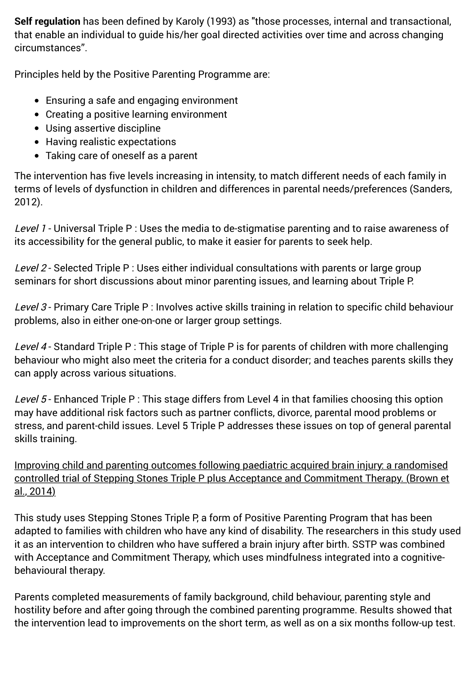**Self regulation** has been defined by Karoly (1993) as "those processes, internal and transactional, that enable an individual to guide his/her goal directed activities over time and across changing circumstances".

Principles held by the Positive Parenting Programme are:

- Ensuring a safe and engaging environment
- Creating a positive learning environment
- Using assertive discipline
- Having realistic expectations
- Taking care of oneself as a parent

The intervention has five levels increasing in intensity, to match different needs of each family in terms of levels of dysfunction in children and differences in parental needs/preferences (Sanders, 2012).

Level 1 - Universal Triple P : Uses the media to de-stigmatise parenting and to raise awareness of its accessibility for the general public, to make it easier for parents to seek help.

Level 2 - Selected Triple P : Uses either individual consultations with parents or large group seminars for short discussions about minor parenting issues, and learning about Triple P.

Level 3 - Primary Care Triple P : Involves active skills training in relation to specific child behaviour problems, also in either one-on-one or larger group settings.

Level 4 - Standard Triple P : This stage of Triple P is for parents of children with more challenging behaviour who might also meet the criteria for a conduct disorder; and teaches parents skills they can apply across various situations.

Level 5 - Enhanced Triple P : This stage differs from Level 4 in that families choosing this option may have additional risk factors such as partner conflicts, divorce, parental mood problems or stress, and parent-child issues. Level 5 Triple P addresses these issues on top of general parental skills training.

Improving child and parenting outcomes following paediatric acquired brain injury: a randomised controlled trial of Stepping Stones Triple P plus Acceptance and Commitment Therapy. (Brown et al., 2014)

This study uses Stepping Stones Triple P, a form of Positive Parenting Program that has been adapted to families with children who have any kind of disability. The researchers in this study used it as an intervention to children who have suffered a brain injury after birth. SSTP was combined with Acceptance and Commitment Therapy, which uses mindfulness integrated into a cognitivebehavioural therapy.

Parents completed measurements of family background, child behaviour, parenting style and hostility before and after going through the combined parenting programme. Results showed that the intervention lead to improvements on the short term, as well as on a six months follow-up test.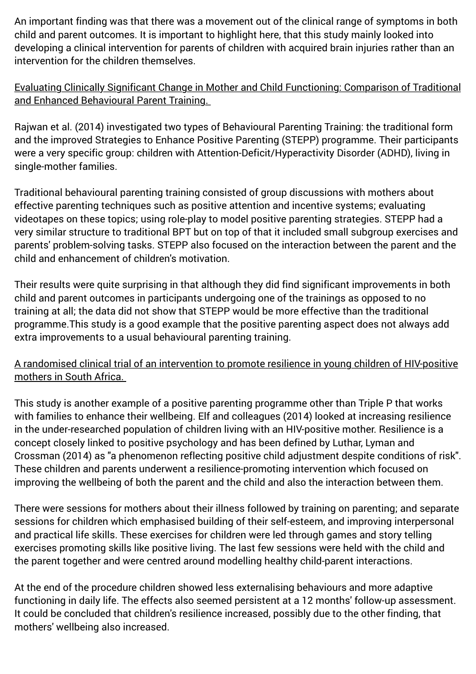An important finding was that there was a movement out of the clinical range of symptoms in both child and parent outcomes. It is important to highlight here, that this study mainly looked into developing a clinical intervention for parents of children with acquired brain injuries rather than an intervention for the children themselves.

### Evaluating Clinically Significant Change in Mother and Child Functioning: Comparison of Traditional and Enhanced Behavioural Parent Training.

Rajwan et al. (2014) investigated two types of Behavioural Parenting Training: the traditional form and the improved Strategies to Enhance Positive Parenting (STEPP) programme. Their participants were a very specific group: children with Attention-Deficit/Hyperactivity Disorder (ADHD), living in single-mother families.

Traditional behavioural parenting training consisted of group discussions with mothers about effective parenting techniques such as positive attention and incentive systems; evaluating videotapes on these topics; using role-play to model positive parenting strategies. STEPP had a very similar structure to traditional BPT but on top of that it included small subgroup exercises and parents' problem-solving tasks. STEPP also focused on the interaction between the parent and the child and enhancement of children's motivation.

Their results were quite surprising in that although they did find significant improvements in both child and parent outcomes in participants undergoing one of the trainings as opposed to no training at all; the data did not show that STEPP would be more effective than the traditional programme.This study is a good example that the positive parenting aspect does not always add extra improvements to a usual behavioural parenting training.

## A randomised clinical trial of an intervention to promote resilience in young children of HIV-positive mothers in South Africa.

This study is another example of a positive parenting programme other than Triple P that works with families to enhance their wellbeing. Elf and colleagues (2014) looked at increasing resilience in the under-researched population of children living with an HIV-positive mother. Resilience is a concept closely linked to positive psychology and has been defined by Luthar, Lyman and Crossman (2014) as "a phenomenon reflecting positive child adjustment despite conditions of risk". These children and parents underwent a resilience-promoting intervention which focused on improving the wellbeing of both the parent and the child and also the interaction between them.

There were sessions for mothers about their illness followed by training on parenting; and separate sessions for children which emphasised building of their self-esteem, and improving interpersonal and practical life skills. These exercises for children were led through games and story telling exercises promoting skills like positive living. The last few sessions were held with the child and the parent together and were centred around modelling healthy child-parent interactions.

At the end of the procedure children showed less externalising behaviours and more adaptive functioning in daily life. The effects also seemed persistent at a 12 months' follow-up assessment. It could be concluded that children's resilience increased, possibly due to the other finding, that mothers' wellbeing also increased.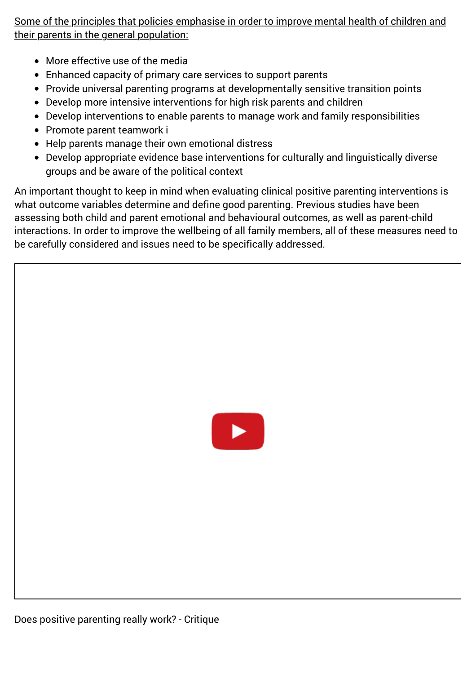Some of the principles that policies emphasise in order to improve mental health of children and their parents in the general population:

- More effective use of the media
- Enhanced capacity of primary care services to support parents
- Provide universal parenting programs at developmentally sensitive transition points
- Develop more intensive interventions for high risk parents and children
- Develop interventions to enable parents to manage work and family responsibilities
- Promote parent teamwork i
- Help parents manage their own emotional distress
- Develop appropriate evidence base interventions for culturally and linguistically diverse groups and be aware of the political context

An important thought to keep in mind when evaluating clinical positive parenting interventions is what outcome variables determine and define good parenting. Previous studies have been assessing both child and parent emotional and behavioural outcomes, as well as parent-child interactions. In order to improve the wellbeing of all family members, all of these measures need to be carefully considered and issues need to be specifically addressed.

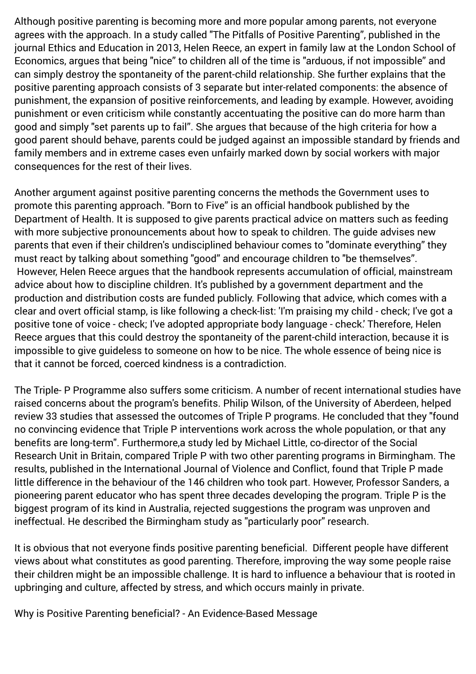Although positive parenting is becoming more and more popular among parents, not everyone agrees with the approach. In a study called "The Pitfalls of Positive Parenting", published in the journal Ethics and Education in 2013, Helen Reece, an expert in family law at the London School of Economics, argues that being "nice" to children all of the time is "arduous, if not impossible" and can simply destroy the spontaneity of the parent-child relationship. She further explains that the positive parenting approach consists of 3 separate but inter-related components: the absence of punishment, the expansion of positive reinforcements, and leading by example. However, avoiding punishment or even criticism while constantly accentuating the positive can do more harm than good and simply "set parents up to fail". She argues that because of the high criteria for how a good parent should behave, parents could be judged against an impossible standard by friends and family members and in extreme cases even unfairly marked down by social workers with major consequences for the rest of their lives.

Another argument against positive parenting concerns the methods the Government uses to promote this parenting approach. "Born to Five" is an official handbook published by the Department of Health. It is supposed to give parents practical advice on matters such as feeding with more subjective pronouncements about how to speak to children. The guide advises new parents that even if their children's undisciplined behaviour comes to "dominate everything" they must react by talking about something "good" and encourage children to "be themselves". However, Helen Reece argues that the handbook represents accumulation of official, mainstream advice about how to discipline children. It's published by a government department and the production and distribution costs are funded publicly. Following that advice, which comes with a clear and overt official stamp, is like following a check-list: 'I'm praising my child - check; I've got a positive tone of voice - check; I've adopted appropriate body language - check.' Therefore, Helen Reece argues that this could destroy the spontaneity of the parent-child interaction, because it is impossible to give guideless to someone on how to be nice. The whole essence of being nice is that it cannot be forced, coerced kindness is a contradiction.

The Triple- P Programme also suffers some criticism. A number of recent international studies have raised concerns about the program's benefits. Philip Wilson, of the University of Aberdeen, helped review 33 studies that assessed the outcomes of Triple P programs. He concluded that they "found no convincing evidence that Triple P interventions work across the whole population, or that any benefits are long-term''. Furthermore,a study led by Michael Little, co-director of the Social Research Unit in Britain, compared Triple P with two other parenting programs in Birmingham. The results, published in the International Journal of Violence and Conflict, found that Triple P made little difference in the behaviour of the 146 children who took part. However, Professor Sanders, a pioneering parent educator who has spent three decades developing the program. Triple P is the biggest program of its kind in Australia, rejected suggestions the program was unproven and ineffectual. He described the Birmingham study as ''particularly poor'' research.

It is obvious that not everyone finds positive parenting beneficial. Different people have different views about what constitutes as good parenting. Therefore, improving the way some people raise their children might be an impossible challenge. It is hard to influence a behaviour that is rooted in upbringing and culture, affected by stress, and which occurs mainly in private.

Why is Positive Parenting beneficial? - An Evidence-Based Message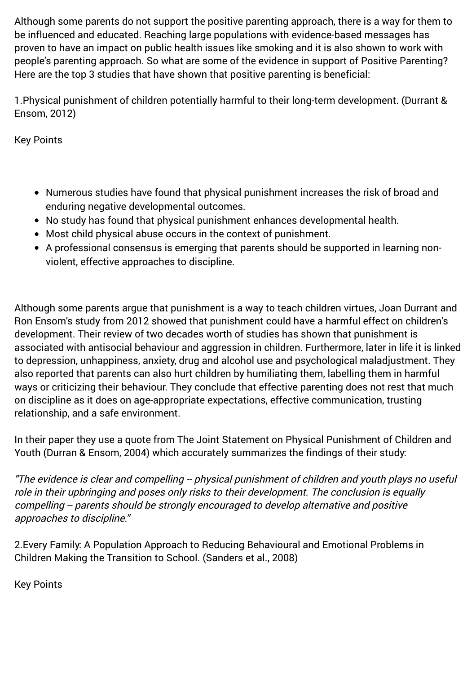Although some parents do not support the positive parenting approach, there is a way for them to be influenced and educated. Reaching large populations with evidence-based messages has proven to have an impact on public health issues like smoking and it is also shown to work with people's parenting approach. So what are some of the evidence in support of Positive Parenting? Here are the top 3 studies that have shown that positive parenting is beneficial:

1.Physical punishment of children potentially harmful to their long-term development. (Durrant & Ensom, 2012)

Key Points

- Numerous studies have found that physical punishment increases the risk of broad and enduring negative developmental outcomes.
- No study has found that physical punishment enhances developmental health.
- Most child physical abuse occurs in the context of punishment.
- A professional consensus is emerging that parents should be supported in learning nonviolent, effective approaches to discipline.

Although some parents argue that punishment is a way to teach children virtues, Joan Durrant and Ron Ensom's study from 2012 showed that punishment could have a harmful effect on children's development. Their review of two decades worth of studies has shown that punishment is associated with antisocial behaviour and aggression in children. Furthermore, later in life it is linked to depression, unhappiness, anxiety, drug and alcohol use and psychological maladjustment. They also reported that parents can also hurt children by humiliating them, labelling them in harmful ways or criticizing their behaviour. They conclude that effective parenting does not rest that much on discipline as it does on age-appropriate expectations, effective communication, trusting relationship, and a safe environment.

In their paper they use a quote from The Joint Statement on Physical Punishment of Children and Youth (Durran & Ensom, 2004) which accurately summarizes the findings of their study:

"The evidence is clear and compelling -- physical punishment of children and youth plays no useful role in their upbringing and poses only risks to their development. The conclusion is equally compelling -- parents should be strongly encouraged to develop alternative and positive approaches to discipline."

2.Every Family: A Population Approach to Reducing Behavioural and Emotional Problems in Children Making the Transition to School. (Sanders et al., 2008)

Key Points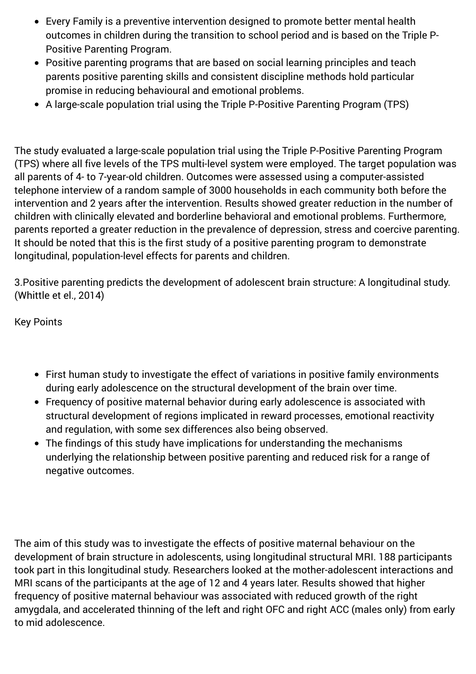- Every Family is a preventive intervention designed to promote better mental health outcomes in children during the transition to school period and is based on the Triple P-Positive Parenting Program.
- Positive parenting programs that are based on social learning principles and teach parents positive parenting skills and consistent discipline methods hold particular promise in reducing behavioural and emotional problems.
- A large-scale population trial using the Triple P-Positive Parenting Program (TPS)

The study evaluated a large-scale population trial using the Triple P-Positive Parenting Program (TPS) where all five levels of the TPS multi-level system were employed. The target population was all parents of 4- to 7-year-old children. Outcomes were assessed using a computer-assisted telephone interview of a random sample of 3000 households in each community both before the intervention and 2 years after the intervention. Results showed greater reduction in the number of children with clinically elevated and borderline behavioral and emotional problems. Furthermore, parents reported a greater reduction in the prevalence of depression, stress and coercive parenting. It should be noted that this is the first study of a positive parenting program to demonstrate longitudinal, population-level effects for parents and children.

3.Positive parenting predicts the development of adolescent brain structure: A longitudinal study. (Whittle et el., 2014)

Key Points

- First human study to investigate the effect of variations in positive family environments during early adolescence on the structural development of the brain over time.
- Frequency of positive maternal behavior during early adolescence is associated with structural development of regions implicated in reward processes, emotional reactivity and regulation, with some sex differences also being observed.
- The findings of this study have implications for understanding the mechanisms underlying the relationship between positive parenting and reduced risk for a range of negative outcomes.

The aim of this study was to investigate the effects of positive maternal behaviour on the development of brain structure in adolescents, using longitudinal structural MRI. 188 participants took part in this longitudinal study. Researchers looked at the mother-adolescent interactions and MRI scans of the participants at the age of 12 and 4 years later. Results showed that higher frequency of positive maternal behaviour was associated with reduced growth of the right amygdala, and accelerated thinning of the left and right OFC and right ACC (males only) from early to mid adolescence.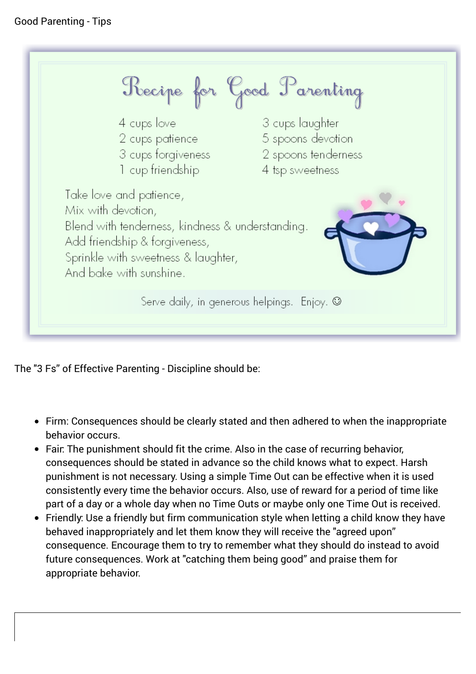

The "3 Fs" of Effective Parenting - Discipline should be:

- Firm: Consequences should be clearly stated and then adhered to when the inappropriate behavior occurs.
- Fair: The punishment should fit the crime. Also in the case of recurring behavior, consequences should be stated in advance so the child knows what to expect. Harsh punishment is not necessary. Using a simple Time Out can be effective when it is used consistently every time the behavior occurs. Also, use of reward for a period of time like part of a day or a whole day when no Time Outs or maybe only one Time Out is received.
- Friendly: Use a friendly but firm communication style when letting a child know they have behaved inappropriately and let them know they will receive the "agreed upon" consequence. Encourage them to try to remember what they should do instead to avoid future consequences. Work at "catching them being good" and praise them for appropriate behavior.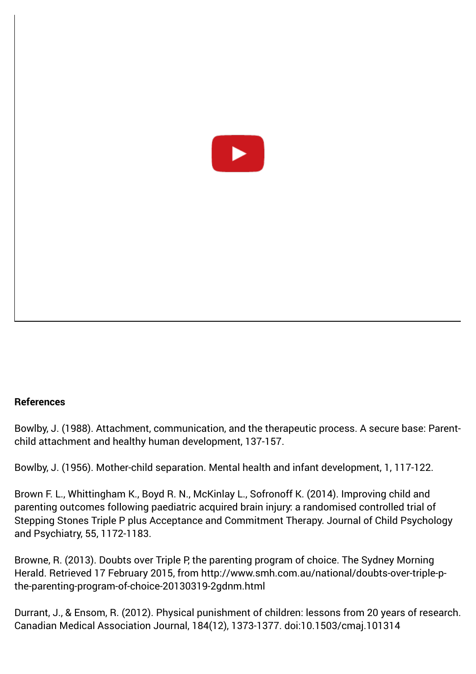

#### **References**

Bowlby, J. (1988). Attachment, communication, and the therapeutic process. A secure base: Parentchild attachment and healthy human development, 137-157.

Bowlby, J. (1956). Mother-child separation. Mental health and infant development, 1, 117-122.

Brown F. L., Whittingham K., Boyd R. N., McKinlay L., Sofronoff K. (2014). Improving child and parenting outcomes following paediatric acquired brain injury: a randomised controlled trial of Stepping Stones Triple P plus Acceptance and Commitment Therapy. Journal of Child Psychology and Psychiatry, 55, 1172-1183.

Browne, R. (2013). Doubts over Triple P, the parenting program of choice. The Sydney Morning [Herald. Retrieved 17 February 2015, from http://www.smh.com.au/national/doubts-over-triple-p](http://www.smh.com.au/national/doubts-over-triple-p-the-parenting-program-of-choice-20130319-2gdnm.html)the-parenting-program-of-choice-20130319-2gdnm.html

Durrant, J., & Ensom, R. (2012). Physical punishment of children: lessons from 20 years of research. Canadian Medical Association Journal, 184(12), 1373-1377. doi:10.1503/cmaj.101314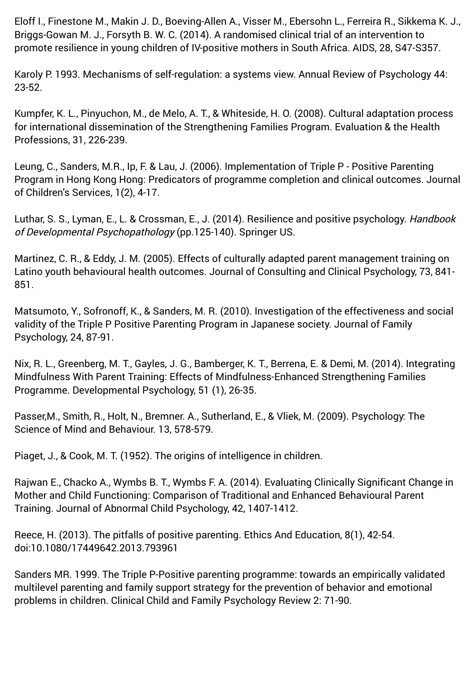Eloff I., Finestone M., Makin J. D., Boeving-Allen A., Visser M., Ebersohn L., Ferreira R., Sikkema K. J., Briggs-Gowan M. J., Forsyth B. W. C. (2014). A randomised clinical trial of an intervention to promote resilience in young children of IV-positive mothers in South Africa. AIDS, 28, S47-S357.

Karoly P. 1993. Mechanisms of self-regulation: a systems view. Annual Review of Psychology 44: 23-52.

Kumpfer, K. L., Pinyuchon, M., de Melo, A. T., & Whiteside, H. O. (2008). Cultural adaptation process for international dissemination of the Strengthening Families Program. Evaluation & the Health Professions, 31, 226-239.

Leung, C., Sanders, M.R., Ip, F. & Lau, J. (2006). Implementation of Triple P - Positive Parenting Program in Hong Kong Hong: Predicators of programme completion and clinical outcomes. Journal of Children's Services, 1(2), 4-17.

Luthar, S. S., Lyman, E., L. & Crossman, E., J. (2014). Resilience and positive psychology. Handbook of Developmental Psychopathology (pp.125-140). Springer US.

Martinez, C. R., & Eddy, J. M. (2005). Effects of culturally adapted parent management training on Latino youth behavioural health outcomes. Journal of Consulting and Clinical Psychology, 73, 841- 851.

Matsumoto, Y., Sofronoff, K., & Sanders, M. R. (2010). Investigation of the effectiveness and social validity of the Triple P Positive Parenting Program in Japanese society. Journal of Family Psychology, 24, 87-91.

Nix, R. L., Greenberg, M. T., Gayles, J. G., Bamberger, K. T., Berrena, E. & Demi, M. (2014). Integrating Mindfulness With Parent Training: Effects of Mindfulness-Enhanced Strengthening Families Programme. Developmental Psychology, 51 (1), 26-35.

Passer,M., Smith, R., Holt, N., Bremner. A., Sutherland, E., & Vliek, M. (2009). Psychology: The Science of Mind and Behaviour. 13, 578-579.

Piaget, J., & Cook, M. T. (1952). The origins of intelligence in children.

Rajwan E., Chacko A., Wymbs B. T., Wymbs F. A. (2014). Evaluating Clinically Significant Change in Mother and Child Functioning: Comparison of Traditional and Enhanced Behavioural Parent Training. Journal of Abnormal Child Psychology, 42, 1407-1412.

Reece, H. (2013). The pitfalls of positive parenting. Ethics And Education, 8(1), 42-54. doi:10.1080/17449642.2013.793961

Sanders MR. 1999. The Triple P-Positive parenting programme: towards an empirically validated multilevel parenting and family support strategy for the prevention of behavior and emotional problems in children. Clinical Child and Family Psychology Review 2: 71-90.